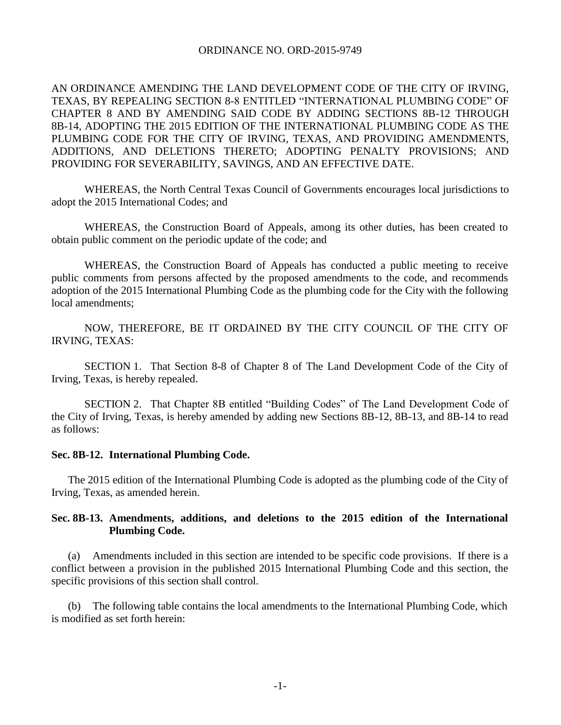## ORDINANCE NO. ORD-2015-9749

AN ORDINANCE AMENDING THE LAND DEVELOPMENT CODE OF THE CITY OF IRVING, TEXAS, BY REPEALING SECTION 8-8 ENTITLED "INTERNATIONAL PLUMBING CODE" OF CHAPTER 8 AND BY AMENDING SAID CODE BY ADDING SECTIONS 8B-12 THROUGH 8B-14, ADOPTING THE 2015 EDITION OF THE INTERNATIONAL PLUMBING CODE AS THE PLUMBING CODE FOR THE CITY OF IRVING, TEXAS, AND PROVIDING AMENDMENTS, ADDITIONS, AND DELETIONS THERETO; ADOPTING PENALTY PROVISIONS; AND PROVIDING FOR SEVERABILITY, SAVINGS, AND AN EFFECTIVE DATE.

WHEREAS, the North Central Texas Council of Governments encourages local jurisdictions to adopt the 2015 International Codes; and

WHEREAS, the Construction Board of Appeals, among its other duties, has been created to obtain public comment on the periodic update of the code; and

WHEREAS, the Construction Board of Appeals has conducted a public meeting to receive public comments from persons affected by the proposed amendments to the code, and recommends adoption of the 2015 International Plumbing Code as the plumbing code for the City with the following local amendments;

NOW, THEREFORE, BE IT ORDAINED BY THE CITY COUNCIL OF THE CITY OF IRVING, TEXAS:

SECTION 1. That Section 8-8 of Chapter 8 of The Land Development Code of the City of Irving, Texas, is hereby repealed.

SECTION 2. That Chapter 8B entitled "Building Codes" of The Land Development Code of the City of Irving, Texas, is hereby amended by adding new Sections 8B-12, 8B-13, and 8B-14 to read as follows:

## **Sec. 8B-12. International Plumbing Code.**

The 2015 edition of the International Plumbing Code is adopted as the plumbing code of the City of Irving, Texas, as amended herein.

## **Sec. 8B-13. Amendments, additions, and deletions to the 2015 edition of the International Plumbing Code.**

(a) Amendments included in this section are intended to be specific code provisions. If there is a conflict between a provision in the published 2015 International Plumbing Code and this section, the specific provisions of this section shall control.

The following table contains the local amendments to the International Plumbing Code, which is modified as set forth herein: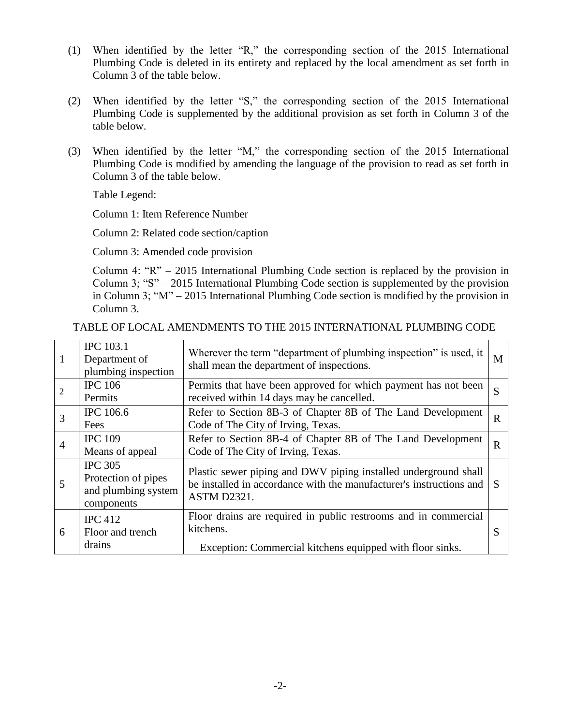- (1) When identified by the letter "R," the corresponding section of the 2015 International Plumbing Code is deleted in its entirety and replaced by the local amendment as set forth in Column 3 of the table below.
- (2) When identified by the letter "S," the corresponding section of the 2015 International Plumbing Code is supplemented by the additional provision as set forth in Column 3 of the table below.
- (3) When identified by the letter "M," the corresponding section of the 2015 International Plumbing Code is modified by amending the language of the provision to read as set forth in Column 3 of the table below.

Table Legend:

Column 1: Item Reference Number

Column 2: Related code section/caption

Column 3: Amended code provision

Column 4: "R" – 2015 International Plumbing Code section is replaced by the provision in Column 3; "S" – 2015 International Plumbing Code section is supplemented by the provision in Column 3; "M" – 2015 International Plumbing Code section is modified by the provision in Column 3.

| -1 | <b>IPC</b> 103.1<br>Department of<br>plumbing inspection                   | Wherever the term "department of plumbing inspection" is used, it<br>shall mean the department of inspections.                                        | M           |
|----|----------------------------------------------------------------------------|-------------------------------------------------------------------------------------------------------------------------------------------------------|-------------|
| 2  | <b>IPC 106</b><br>Permits                                                  | Permits that have been approved for which payment has not been<br>received within 14 days may be cancelled.                                           | S           |
| 3  | <b>IPC</b> 106.6<br>Fees                                                   | Refer to Section 8B-3 of Chapter 8B of The Land Development<br>Code of The City of Irving, Texas.                                                     | $\mathbf R$ |
| 4  | <b>IPC 109</b><br>Means of appeal                                          | Refer to Section 8B-4 of Chapter 8B of The Land Development<br>Code of The City of Irving, Texas.                                                     | $\mathbf R$ |
| 5  | <b>IPC 305</b><br>Protection of pipes<br>and plumbing system<br>components | Plastic sewer piping and DWV piping installed underground shall<br>be installed in accordance with the manufacturer's instructions and<br>ASTM D2321. |             |
| 6  | <b>IPC</b> 412<br>Floor and trench<br>drains                               | Floor drains are required in public restrooms and in commercial<br>kitchens.<br>Exception: Commercial kitchens equipped with floor sinks.             |             |

TABLE OF LOCAL AMENDMENTS TO THE 2015 INTERNATIONAL PLUMBING CODE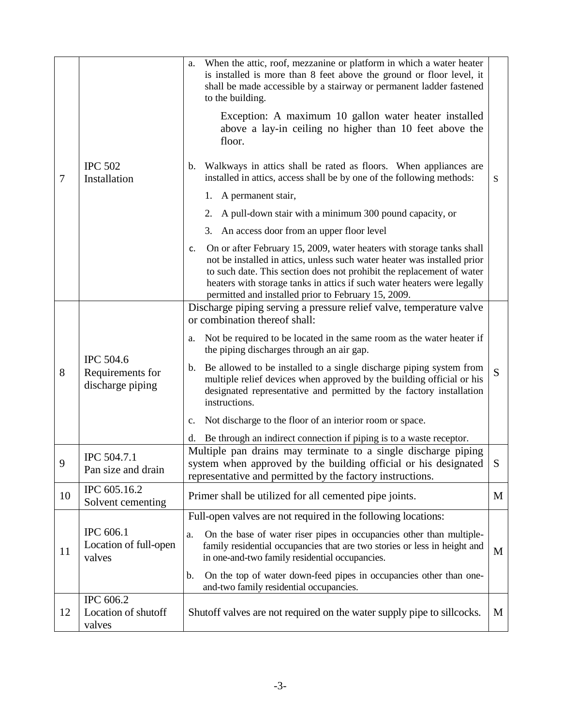| $\overline{7}$ |                                                          | When the attic, roof, mezzanine or platform in which a water heater<br>a.<br>is installed is more than 8 feet above the ground or floor level, it<br>shall be made accessible by a stairway or permanent ladder fastened<br>to the building.                                                                                                                       |           |
|----------------|----------------------------------------------------------|--------------------------------------------------------------------------------------------------------------------------------------------------------------------------------------------------------------------------------------------------------------------------------------------------------------------------------------------------------------------|-----------|
|                |                                                          | Exception: A maximum 10 gallon water heater installed<br>above a lay-in ceiling no higher than 10 feet above the<br>floor.                                                                                                                                                                                                                                         |           |
|                | <b>IPC 502</b><br>Installation                           | b. Walkways in attics shall be rated as floors. When appliances are<br>installed in attics, access shall be by one of the following methods:                                                                                                                                                                                                                       | ${\bf S}$ |
|                |                                                          | 1. A permanent stair,                                                                                                                                                                                                                                                                                                                                              |           |
|                |                                                          | 2. A pull-down stair with a minimum 300 pound capacity, or                                                                                                                                                                                                                                                                                                         |           |
|                |                                                          | 3. An access door from an upper floor level                                                                                                                                                                                                                                                                                                                        |           |
|                |                                                          | On or after February 15, 2009, water heaters with storage tanks shall<br>c.<br>not be installed in attics, unless such water heater was installed prior<br>to such date. This section does not prohibit the replacement of water<br>heaters with storage tanks in attics if such water heaters were legally<br>permitted and installed prior to February 15, 2009. |           |
|                |                                                          | Discharge piping serving a pressure relief valve, temperature valve<br>or combination thereof shall:                                                                                                                                                                                                                                                               |           |
|                | <b>IPC 504.6</b><br>Requirements for<br>discharge piping | Not be required to be located in the same room as the water heater if<br>a.<br>the piping discharges through an air gap.                                                                                                                                                                                                                                           |           |
| 8              |                                                          | Be allowed to be installed to a single discharge piping system from<br>b.<br>multiple relief devices when approved by the building official or his<br>designated representative and permitted by the factory installation<br>instructions.                                                                                                                         | S         |
|                |                                                          | Not discharge to the floor of an interior room or space.<br>$\mathbf{c}$ .                                                                                                                                                                                                                                                                                         |           |
|                |                                                          | Be through an indirect connection if piping is to a waste receptor.<br>d.                                                                                                                                                                                                                                                                                          |           |
| $\mathbf Q$    | IPC 504.7.1<br>Pan size and drain                        | Multiple pan drains may terminate to a single discharge piping<br>system when approved by the building official or his designated<br>representative and permitted by the factory instructions.                                                                                                                                                                     |           |
| 10             | IPC 605.16.2<br>Solvent cementing                        | Primer shall be utilized for all cemented pipe joints.                                                                                                                                                                                                                                                                                                             | M         |
|                |                                                          | Full-open valves are not required in the following locations:                                                                                                                                                                                                                                                                                                      |           |
| 11             | IPC 606.1<br>Location of full-open<br>valves             | On the base of water riser pipes in occupancies other than multiple-<br>a.<br>family residential occupancies that are two stories or less in height and<br>in one-and-two family residential occupancies.                                                                                                                                                          | M         |
|                |                                                          | On the top of water down-feed pipes in occupancies other than one-<br>b.<br>and-two family residential occupancies.                                                                                                                                                                                                                                                |           |
| 12             | IPC 606.2<br>Location of shutoff<br>valves               | Shut off valves are not required on the water supply pipe to sillcocks.                                                                                                                                                                                                                                                                                            | M         |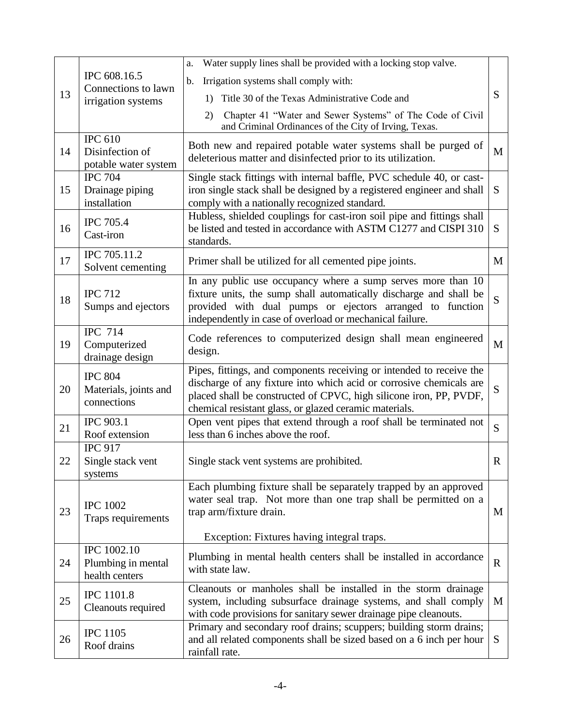|    | IPC 608.16.5<br>Connections to lawn<br>irrigation systems  | Water supply lines shall be provided with a locking stop valve.<br>a.                                                                                                                                                                                                       |             |
|----|------------------------------------------------------------|-----------------------------------------------------------------------------------------------------------------------------------------------------------------------------------------------------------------------------------------------------------------------------|-------------|
| 13 |                                                            | Irrigation systems shall comply with:<br>b.                                                                                                                                                                                                                                 |             |
|    |                                                            | 1) Title 30 of the Texas Administrative Code and                                                                                                                                                                                                                            | S           |
|    |                                                            | Chapter 41 "Water and Sewer Systems" of The Code of Civil<br>2)<br>and Criminal Ordinances of the City of Irving, Texas.                                                                                                                                                    |             |
| 14 | <b>IPC 610</b><br>Disinfection of<br>potable water system  | Both new and repaired potable water systems shall be purged of<br>deleterious matter and disinfected prior to its utilization.                                                                                                                                              | M           |
| 15 | <b>IPC 704</b><br>Drainage piping<br>installation          | Single stack fittings with internal baffle, PVC schedule 40, or cast-<br>iron single stack shall be designed by a registered engineer and shall<br>comply with a nationally recognized standard.                                                                            | S           |
| 16 | <b>IPC 705.4</b><br>Cast-iron                              | Hubless, shielded couplings for cast-iron soil pipe and fittings shall<br>be listed and tested in accordance with ASTM C1277 and CISPI 310<br>standards.                                                                                                                    | S           |
| 17 | IPC 705.11.2<br>Solvent cementing                          | Primer shall be utilized for all cemented pipe joints.                                                                                                                                                                                                                      | M           |
| 18 | <b>IPC 712</b><br>Sumps and ejectors                       | In any public use occupancy where a sump serves more than 10<br>fixture units, the sump shall automatically discharge and shall be<br>provided with dual pumps or ejectors arranged to function<br>independently in case of overload or mechanical failure.                 | S           |
| 19 | <b>IPC 714</b><br>Computerized<br>drainage design          | Code references to computerized design shall mean engineered<br>design.                                                                                                                                                                                                     | M           |
| 20 | <b>IPC 804</b><br>Materials, joints and<br>connections     | Pipes, fittings, and components receiving or intended to receive the<br>discharge of any fixture into which acid or corrosive chemicals are<br>placed shall be constructed of CPVC, high silicone iron, PP, PVDF,<br>chemical resistant glass, or glazed ceramic materials. | S           |
| 21 | <b>IPC 903.1</b><br>Roof extension                         | Open vent pipes that extend through a roof shall be terminated not<br>less than 6 inches above the roof.                                                                                                                                                                    | S           |
| 22 | <b>IPC 917</b><br>Single stack vent<br>systems             | Single stack vent systems are prohibited.                                                                                                                                                                                                                                   | $\mathbf R$ |
| 23 | <b>IPC 1002</b><br>Traps requirements                      | Each plumbing fixture shall be separately trapped by an approved<br>water seal trap. Not more than one trap shall be permitted on a<br>trap arm/fixture drain.<br>Exception: Fixtures having integral traps.                                                                | M           |
| 24 | <b>IPC</b> 1002.10<br>Plumbing in mental<br>health centers | Plumbing in mental health centers shall be installed in accordance<br>with state law.                                                                                                                                                                                       | $\mathbf R$ |
| 25 | <b>IPC</b> 1101.8<br>Cleanouts required                    | Cleanouts or manholes shall be installed in the storm drainage<br>system, including subsurface drainage systems, and shall comply<br>with code provisions for sanitary sewer drainage pipe cleanouts.                                                                       | M           |
| 26 | <b>IPC 1105</b><br>Roof drains                             | Primary and secondary roof drains; scuppers; building storm drains;<br>and all related components shall be sized based on a 6 inch per hour<br>rainfall rate.                                                                                                               | S           |